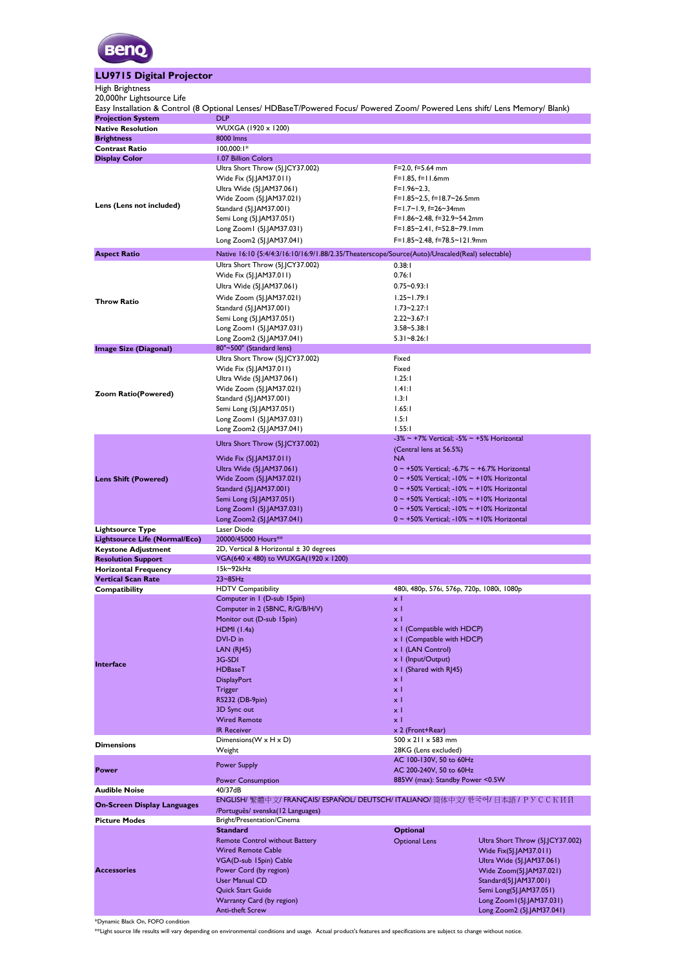

## **LU9715 Digital Projector**

## High Brightness

| 20,000hr Lightsource Life                            |                                                                                                                                     |                                                                                                                  |                                                         |  |  |  |  |  |
|------------------------------------------------------|-------------------------------------------------------------------------------------------------------------------------------------|------------------------------------------------------------------------------------------------------------------|---------------------------------------------------------|--|--|--|--|--|
|                                                      | Easy Installation & Control (8 Optional Lenses/ HDBaseT/Powered Focus/ Powered Zoom/ Powered Lens shift/ Lens Memory/ Blank)<br>DLP |                                                                                                                  |                                                         |  |  |  |  |  |
| <b>Projection System</b><br><b>Native Resolution</b> | WUXGA (1920 x 1200)                                                                                                                 |                                                                                                                  |                                                         |  |  |  |  |  |
| <b>Brightness</b>                                    | 8000 lmns                                                                                                                           |                                                                                                                  |                                                         |  |  |  |  |  |
| <b>Contrast Ratio</b>                                | $100,000:1*$                                                                                                                        |                                                                                                                  |                                                         |  |  |  |  |  |
| <b>Display Color</b>                                 | 1.07 Billion Colors                                                                                                                 |                                                                                                                  |                                                         |  |  |  |  |  |
|                                                      | Ultra Short Throw (5J.JCY37.002)                                                                                                    | $F=2.0, f=5.64$ mm                                                                                               |                                                         |  |  |  |  |  |
|                                                      | Wide Fix (5]. [AM37.011)                                                                                                            | $F=1.85, f=11.6$ mm                                                                                              |                                                         |  |  |  |  |  |
|                                                      | Ultra Wide (5J.JAM37.061)                                                                                                           | $F=1.96-2.3$                                                                                                     |                                                         |  |  |  |  |  |
|                                                      | Wide Zoom (5J.JAM37.021)                                                                                                            | F=1.85~2.5, f=18.7~26.5mm                                                                                        |                                                         |  |  |  |  |  |
| Lens (Lens not included)                             | Standard (5J.JAM37.001)                                                                                                             | F=1.7~1.9, f=26~34mm                                                                                             |                                                         |  |  |  |  |  |
|                                                      | Semi Long (5J.JAM37.051)                                                                                                            | F=1.86~2.48, f=32.9~54.2mm                                                                                       |                                                         |  |  |  |  |  |
|                                                      | Long Zoom1 (5J.JAM37.031)                                                                                                           | F=1.85~2.41, f=52.8~79.1mm                                                                                       |                                                         |  |  |  |  |  |
|                                                      | Long Zoom2 (5J.JAM37.041)                                                                                                           | F=1.85~2.48, f=78.5~121.9mm                                                                                      |                                                         |  |  |  |  |  |
| <b>Aspect Ratio</b>                                  | Native 16:10 {5:4/4:3/16:10/16:9/1.88/2.35/Theaterscope/Source(Auto)/Unscaled(Real) selectable}                                     |                                                                                                                  |                                                         |  |  |  |  |  |
|                                                      | Ultra Short Throw (5J.JCY37.002)                                                                                                    | 0.38:1                                                                                                           |                                                         |  |  |  |  |  |
|                                                      | Wide Fix (5J.JAM37.011)                                                                                                             | 0.76:1                                                                                                           |                                                         |  |  |  |  |  |
|                                                      | Ultra Wide (5J.JAM37.061)                                                                                                           | $0.75 - 0.93:1$                                                                                                  |                                                         |  |  |  |  |  |
|                                                      | Wide Zoom (5J.JAM37.021)                                                                                                            | $1.25 - 1.79:1$                                                                                                  |                                                         |  |  |  |  |  |
| <b>Throw Ratio</b>                                   | Standard (5J.JAM37.001)                                                                                                             | $1.73 - 2.27:1$                                                                                                  |                                                         |  |  |  |  |  |
|                                                      | Semi Long (5J.JAM37.051)                                                                                                            | $2.22 - 3.67:1$                                                                                                  |                                                         |  |  |  |  |  |
|                                                      | Long Zoom1 (51.1AM37.031)                                                                                                           | $3.58 - 5.38:1$                                                                                                  |                                                         |  |  |  |  |  |
|                                                      | Long Zoom2 (5J.JAM37.041)                                                                                                           | $5.31 - 8.26:1$                                                                                                  |                                                         |  |  |  |  |  |
| <b>Image Size (Diagonal)</b>                         | 80"~500" (Standard lens)                                                                                                            |                                                                                                                  |                                                         |  |  |  |  |  |
|                                                      | Ultra Short Throw (5J.JCY37.002)                                                                                                    | Fixed                                                                                                            |                                                         |  |  |  |  |  |
|                                                      | Wide Fix (5J.JAM37.011)                                                                                                             | Fixed                                                                                                            |                                                         |  |  |  |  |  |
|                                                      | Ultra Wide (5]. [AM37.061)                                                                                                          | 1.25:1                                                                                                           |                                                         |  |  |  |  |  |
| <b>Zoom Ratio(Powered)</b>                           | Wide Zoom (5J.JAM37.021)                                                                                                            | 1.41:1                                                                                                           |                                                         |  |  |  |  |  |
|                                                      | Standard (5J.JAM37.001)                                                                                                             | 1.3:1                                                                                                            |                                                         |  |  |  |  |  |
|                                                      | Semi Long (5J.JAM37.051)                                                                                                            | 1.65:1                                                                                                           |                                                         |  |  |  |  |  |
|                                                      | Long Zoom1 (5J.JAM37.031)                                                                                                           | 1.5:1                                                                                                            |                                                         |  |  |  |  |  |
|                                                      | Long Zoom2 (5J.JAM37.041)                                                                                                           | 1.55:1                                                                                                           |                                                         |  |  |  |  |  |
|                                                      | Ultra Short Throw (5J.JCY37.002)                                                                                                    | $-3\% \sim +7\%$ Vertical; $-5\% \sim +5\%$ Horizontal                                                           |                                                         |  |  |  |  |  |
|                                                      |                                                                                                                                     | (Central lens at 56.5%)<br>NA.                                                                                   |                                                         |  |  |  |  |  |
|                                                      | Wide Fix (5J.JAM37.011)                                                                                                             |                                                                                                                  |                                                         |  |  |  |  |  |
| <b>Lens Shift (Powered)</b>                          | Ultra Wide (5J.JAM37.061)<br>Wide Zoom (5J.JAM37.021)                                                                               | $0 \sim +50\%$ Vertical; -6.7% $\sim +6.7\%$ Horizontal<br>$0 \sim +50\%$ Vertical; -10% $\sim +10\%$ Horizontal |                                                         |  |  |  |  |  |
|                                                      | Standard (5J.JAM37.001)                                                                                                             | $0 \sim +50\%$ Vertical; -10% $\sim +10\%$ Horizontal                                                            |                                                         |  |  |  |  |  |
|                                                      | Semi Long (5J.JAM37.051)                                                                                                            | $0 \sim +50\%$ Vertical; -10% $\sim +10\%$ Horizontal                                                            |                                                         |  |  |  |  |  |
|                                                      | Long Zoom1 (5J.JAM37.031)                                                                                                           | $0 \sim +50\%$ Vertical; -10% $\sim +10\%$ Horizontal                                                            |                                                         |  |  |  |  |  |
|                                                      | Long Zoom2 (5J.JAM37.041)                                                                                                           | $0 \sim +50\%$ Vertical; $-10\% \sim +10\%$ Horizontal                                                           |                                                         |  |  |  |  |  |
| <b>Lightsource Type</b>                              | Laser Diode                                                                                                                         |                                                                                                                  |                                                         |  |  |  |  |  |
| Lightsource Life (Normal/Eco)                        | 20000/45000 Hours**                                                                                                                 |                                                                                                                  |                                                         |  |  |  |  |  |
| <b>Keystone Adjustment</b>                           | 2D, Vertical & Horizontal ± 30 degrees                                                                                              |                                                                                                                  |                                                         |  |  |  |  |  |
| <b>Resolution Support</b>                            | VGA(640 x 480) to WUXGA(1920 x 1200)                                                                                                |                                                                                                                  |                                                         |  |  |  |  |  |
| <b>Horizontal Frequency</b>                          | I5k~92kHz                                                                                                                           |                                                                                                                  |                                                         |  |  |  |  |  |
| <b>Vertical Scan Rate</b>                            | $23 - 85$ Hz                                                                                                                        |                                                                                                                  |                                                         |  |  |  |  |  |
| Compatibility                                        | <b>HDTV Compatibility</b>                                                                                                           | 480i, 480p, 576i, 576p, 720p, 1080i, 1080p                                                                       |                                                         |  |  |  |  |  |
|                                                      | Computer in I (D-sub 15pin)                                                                                                         | x I                                                                                                              |                                                         |  |  |  |  |  |
|                                                      | Computer in 2 (5BNC, R/G/B/H/V)                                                                                                     | x I                                                                                                              |                                                         |  |  |  |  |  |
|                                                      | Monitor out (D-sub 15pin)                                                                                                           | x <sub>1</sub>                                                                                                   |                                                         |  |  |  |  |  |
|                                                      | <b>HDMI</b> (1.4a)                                                                                                                  | x I (Compatible with HDCP)                                                                                       |                                                         |  |  |  |  |  |
|                                                      | DVI-D in<br>LAN(RJ45)                                                                                                               | x I (Compatible with HDCP)<br>x   (LAN Control)                                                                  |                                                         |  |  |  |  |  |
|                                                      | 3G-SDI                                                                                                                              | x   (Input/Output)                                                                                               |                                                         |  |  |  |  |  |
| Interface                                            | <b>HDBaseT</b>                                                                                                                      | x I (Shared with RJ45)                                                                                           |                                                         |  |  |  |  |  |
|                                                      | <b>DisplayPort</b>                                                                                                                  | χI                                                                                                               |                                                         |  |  |  |  |  |
|                                                      | Trigger                                                                                                                             | хI                                                                                                               |                                                         |  |  |  |  |  |
|                                                      | RS232 (DB-9pin)                                                                                                                     | хI                                                                                                               |                                                         |  |  |  |  |  |
|                                                      | 3D Sync out                                                                                                                         | хI                                                                                                               |                                                         |  |  |  |  |  |
|                                                      | <b>Wired Remote</b>                                                                                                                 | хI                                                                                                               |                                                         |  |  |  |  |  |
|                                                      | <b>IR Receiver</b>                                                                                                                  | x 2 (Front+Rear)                                                                                                 |                                                         |  |  |  |  |  |
|                                                      | Dimensions (W x H x D)                                                                                                              | $500 \times 211 \times 583$ mm                                                                                   |                                                         |  |  |  |  |  |
| <b>Dimensions</b>                                    | Weight                                                                                                                              | 28KG (Lens excluded)                                                                                             |                                                         |  |  |  |  |  |
|                                                      | <b>Power Supply</b>                                                                                                                 | AC 100-130V, 50 to 60Hz                                                                                          |                                                         |  |  |  |  |  |
| <b>Power</b>                                         |                                                                                                                                     |                                                                                                                  | AC 200-240V, 50 to 60Hz                                 |  |  |  |  |  |
|                                                      | 885W (max): Standby Power <0.5W<br><b>Power Consumption</b>                                                                         |                                                                                                                  |                                                         |  |  |  |  |  |
| <b>Audible Noise</b>                                 | 40/37dB                                                                                                                             |                                                                                                                  |                                                         |  |  |  |  |  |
| <b>On-Screen Display Languages</b>                   | ENGLISH/ 繁體中文/ FRANÇAIS/ ESPAÑOL/ DEUTSCH/ ITALIANO/ 简体中文/ 한국어/ 日本語 / PУССКИЙ                                                       |                                                                                                                  |                                                         |  |  |  |  |  |
|                                                      | /Português/ svenska(12 Languages)                                                                                                   |                                                                                                                  |                                                         |  |  |  |  |  |
| <b>Picture Modes</b>                                 | Bright/Presentation/Cinema                                                                                                          |                                                                                                                  |                                                         |  |  |  |  |  |
|                                                      | <b>Standard</b>                                                                                                                     | <b>Optional</b>                                                                                                  |                                                         |  |  |  |  |  |
|                                                      | <b>Remote Control without Battery</b>                                                                                               | <b>Optional Lens</b>                                                                                             | Ultra Short Throw (5J.JCY37.002)                        |  |  |  |  |  |
|                                                      | <b>Wired Remote Cable</b>                                                                                                           |                                                                                                                  | Wide Fix(5J.JAM37.011)                                  |  |  |  |  |  |
|                                                      | VGA(D-sub 15pin) Cable                                                                                                              |                                                                                                                  | Ultra Wide (5J.JAM37.061)                               |  |  |  |  |  |
| <b>Accessories</b>                                   | Power Cord (by region)                                                                                                              |                                                                                                                  | Wide Zoom(5J.JAM37.021)                                 |  |  |  |  |  |
|                                                      | <b>User Manual CD</b>                                                                                                               |                                                                                                                  | Standard(5J.JAM37.001)                                  |  |  |  |  |  |
|                                                      | Quick Start Guide                                                                                                                   |                                                                                                                  | Semi Long(5].JAM37.051)                                 |  |  |  |  |  |
|                                                      | Warranty Card (by region)<br><b>Anti-theft Screw</b>                                                                                |                                                                                                                  | Long Zoom I (5J.JAM37.031)<br>Long Zoom2 (5J.JAM37.041) |  |  |  |  |  |
|                                                      |                                                                                                                                     |                                                                                                                  |                                                         |  |  |  |  |  |

\*Dynamic Black On, FOFO condition

\*\*Light source life results will vary depending on environmental conditions and usage. Actual product's features and specifications are subject to change without notice.